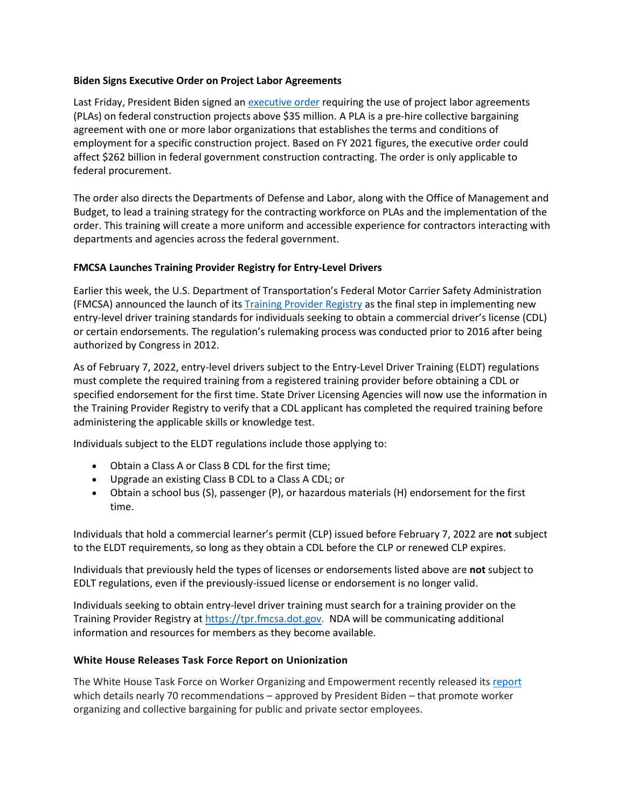## **Biden Signs Executive Order on Project Labor Agreements**

Last Friday, President Biden signed an [executive order](https://www.whitehouse.gov/briefing-room/presidential-actions/2022/02/04/executive-order-on-use-of-project-labor-agreements-for-federal-construction-projects/) requiring the use of project labor agreements (PLAs) on federal construction projects above \$35 million. A PLA is a pre-hire collective bargaining agreement with one or more labor organizations that establishes the terms and conditions of employment for a specific construction project. Based on FY 2021 figures, the executive order could affect \$262 billion in federal government construction contracting. The order is only applicable to federal procurement.

The order also directs the Departments of Defense and Labor, along with the Office of Management and Budget, to lead a training strategy for the contracting workforce on PLAs and the implementation of the order. This training will create a more uniform and accessible experience for contractors interacting with departments and agencies across the federal government.

## **FMCSA Launches Training Provider Registry for Entry-Level Drivers**

Earlier this week, the U.S. Department of Transportation's Federal Motor Carrier Safety Administration (FMCSA) announced the launch of its Training [Provider Registry](https://tpr.fmcsa.dot.gov/) as the final step in implementing new entry-level driver training standards for individuals seeking to obtain a commercial driver's license (CDL) or certain endorsements. The regulation's rulemaking process was conducted prior to 2016 after being authorized by Congress in 2012.

As of February 7, 2022, entry-level drivers subject to the Entry-Level Driver Training (ELDT) regulations must complete the required training from a registered training provider before obtaining a CDL or specified endorsement for the first time. State Driver Licensing Agencies will now use the information in the Training Provider Registry to verify that a CDL applicant has completed the required training before administering the applicable skills or knowledge test.

Individuals subject to the ELDT regulations include those applying to:

- Obtain a Class A or Class B CDL for the first time;
- Upgrade an existing Class B CDL to a Class A CDL; or
- Obtain a school bus (S), passenger (P), or hazardous materials (H) endorsement for the first time.

Individuals that hold a commercial learner's permit (CLP) issued before February 7, 2022 are **not** subject to the ELDT requirements, so long as they obtain a CDL before the CLP or renewed CLP expires.

Individuals that previously held the types of licenses or endorsements listed above are **not** subject to EDLT regulations, even if the previously-issued license or endorsement is no longer valid.

Individuals seeking to obtain entry-level driver training must search for a training provider on the Training Provider Registry at [https://tpr.fmcsa.dot.gov.](https://tpr.fmcsa.dot.gov/) NDA will be communicating additional information and resources for members as they become available.

## **White House Releases Task Force Report on Unionization**

The White House Task Force on Worker Organizing and Empowerment recently released it[s report](https://www.dol.gov/sites/dolgov/files/OPA/newsreleases/2022/02/OSEC20220195.pdf) which details nearly 70 recommendations – approved by President Biden – that promote worker organizing and collective bargaining for public and private sector employees.